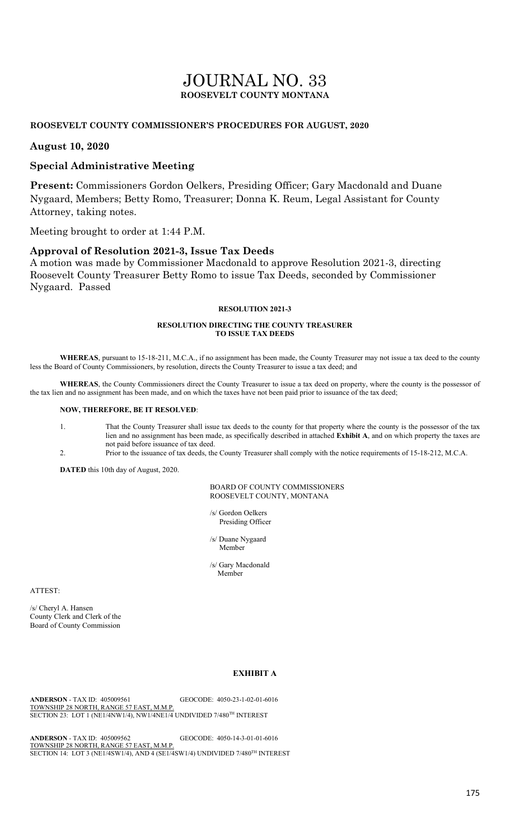# JOURNAL NO. 33 **ROOSEVELT COUNTY MONTANA**

## **ROOSEVELT COUNTY COMMISSIONER'S PROCEDURES FOR AUGUST, 2020**

## **August 10, 2020**

## **Special Administrative Meeting**

**Present:** Commissioners Gordon Oelkers, Presiding Officer; Gary Macdonald and Duane Nygaard, Members; Betty Romo, Treasurer; Donna K. Reum, Legal Assistant for County Attorney, taking notes.

Meeting brought to order at 1:44 P.M.

## **Approval of Resolution 2021-3, Issue Tax Deeds**

A motion was made by Commissioner Macdonald to approve Resolution 2021-3, directing Roosevelt County Treasurer Betty Romo to issue Tax Deeds, seconded by Commissioner Nygaard. Passed

#### **RESOLUTION 2021-3**

#### **RESOLUTION DIRECTING THE COUNTY TREASURER TO ISSUE TAX DEEDS**

**WHEREAS**, pursuant to 15-18-211, M.C.A., if no assignment has been made, the County Treasurer may not issue a tax deed to the county less the Board of County Commissioners, by resolution, directs the County Treasurer to issue a tax deed; and

**WHEREAS**, the County Commissioners direct the County Treasurer to issue a tax deed on property, where the county is the possessor of the tax lien and no assignment has been made, and on which the taxes have not been paid prior to issuance of the tax deed;

#### **NOW, THEREFORE, BE IT RESOLVED**:

- 1. That the County Treasurer shall issue tax deeds to the county for that property where the county is the possessor of the tax lien and no assignment has been made, as specifically described in attached **Exhibit A**, and on which property the taxes are not paid before issuance of tax deed.
- 2. Prior to the issuance of tax deeds, the County Treasurer shall comply with the notice requirements of 15-18-212, M.C.A.

**DATED** this 10th day of August, 2020.

### BOARD OF COUNTY COMMISSIONERS ROOSEVELT COUNTY, MONTANA

/s/ Gordon Oelkers Presiding Officer

 /s/ Duane Nygaard Member

> /s/ Gary Macdonald Member

ATTEST:

/s/ Cheryl A. Hansen County Clerk and Clerk of the Board of County Commission

## **EXHIBIT A**

**ANDERSON** - TAX ID: 405009561 GEOCODE: 4050-23-1-02-01-6016 TOWNSHIP 28 NORTH, RANGE 57 EAST, M.M.P. SECTION 23: LOT 1 (NE1/4NW1/4), NW1/4NE1/4 UNDIVIDED 7/480TH INTEREST

**ANDERSON** - TAX ID: 405009562 GEOCODE: 4050-14-3-01-01-6016 TOWNSHIP 28 NORTH, RANGE 57 EAST, M.M.P. SECTION 14: LOT 3 (NE1/4SW1/4), AND 4 (SE1/4SW1/4) UNDIVIDED 7/480<sup>TH</sup> INTEREST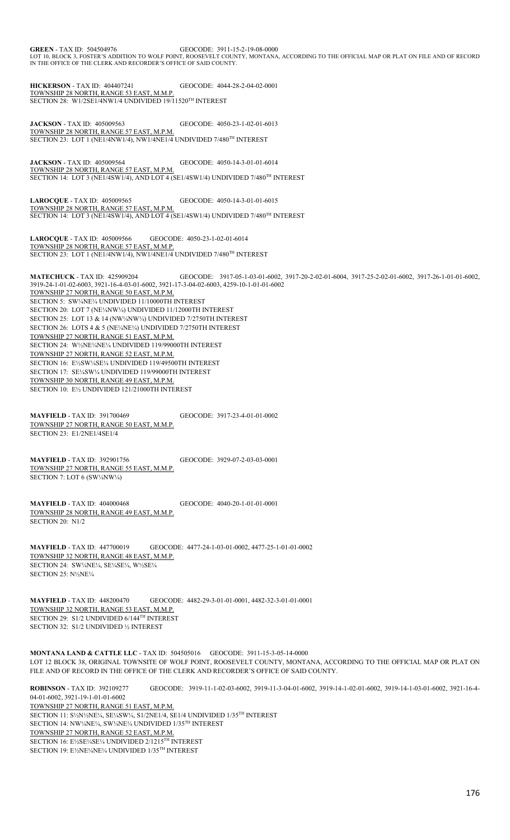**GREEN** - TAX ID: 504504976 GEOCODE: 3911-15-2-19-08-0000 LOT 10, BLOCK 3, FOSTER'S ADDITION TO WOLF POINT, ROOSEVELT COUNTY, MONTANA, ACCORDING TO THE OFFICIAL MAP OR PLAT ON FILE AND OF RECORD IN THE OFFICE OF THE CLERK AND RECORDER'S OFFICE OF SAID COUNTY.

**HICKERSON** - TAX ID: 404407241 GEOCODE: 4044-28-2-04-02-0001 TOWNSHIP 28 NORTH, RANGE 53 EAST, M.M.P. SECTION 28: W1/2SE1/4NW1/4 UNDIVIDED 19/11520TH INTEREST

**JACKSON** - TAX ID: 405009563 GEOCODE: 4050-23-1-02-01-6013 TOWNSHIP 28 NORTH, RANGE 57 EAST, M.P.M. SECTION 23: LOT 1 (NE1/4NW1/4), NW1/4NE1/4 UNDIVIDED 7/480<sup>TH</sup> INTEREST

**JACKSON** - TAX ID: 405009564 GEOCODE: 4050-14-3-01-01-6014 TOWNSHIP 28 NORTH, RANGE 57 EAST, M.P.M. SECTION 14: LOT 3 (NE1/4SW1/4), AND LOT 4 (SE1/4SW1/4) UNDIVIDED 7/480<sup>TH</sup> INTEREST

**LAROCQUE** - TAX ID: 405009565 GEOCODE: 4050-14-3-01-01-6015 TOWNSHIP 28 NORTH, RANGE 57 EAST, M.P.M. SECTION 14: LOT 3 (NE1/4SW1/4), AND LOT 4 (SE1/4SW1/4) UNDIVIDED 7/480<sup>TH</sup> INTEREST

**LAROCOUE - TAX ID: 405009566** GEOCODE: 4050-23-1-02-01-6014 TOWNSHIP 28 NORTH, RANGE 57 EAST, M.M.P. SECTION 23: LOT 1 (NE1/4NW1/4), NW1/4NE1/4 UNDIVIDED 7/480<sup>TH</sup> INTEREST

**MATECHUCK** - TAX ID: 425909204 GEOCODE: 3917-05-1-03-01-6002, 3917-20-2-02-01-6004, 3917-25-2-02-01-6002, 3917-26-1-01-01-6002, 3919-24-1-01-02-6003, 3921-16-4-03-01-6002, 3921-17-3-04-02-6003, 4259-10-1-01-01-6002 TOWNSHIP 27 NORTH, RANGE 50 EAST, M.P.M. SECTION 5: SW¼NE¼ UNDIVIDED 11/10000TH INTEREST SECTION 20: LOT 7 (NE¼NW¼) UNDIVIDED 11/12000TH INTEREST SECTION 25: LOT 13 & 14 (NW¼NW¼) UNDIVIDED 7/2750TH INTEREST SECTION 26: LOTS 4 & 5 (NE¼NE¼) UNDIVIDED 7/2750TH INTEREST TOWNSHIP 27 NORTH, RANGE 51 EAST, M.P.M. SECTION 24: W½NE¼NE¼ UNDIVIDED 119/99000TH INTEREST TOWNSHIP 27 NORTH, RANGE 52 EAST, M.P.M. SECTION 16: E½SW¼SE¼ UNDIVIDED 119/49500TH INTEREST SECTION 17: SE¼SW¼ UNDIVIDED 119/99000TH INTEREST TOWNSHIP 30 NORTH, RANGE 49 EAST, M.P.M. SECTION 10: E½ UNDIVIDED 121/21000TH INTEREST

**MAYFIELD** - TAX ID: 391700469 GEOCODE: 3917-23-4-01-01-0002 TOWNSHIP 27 NORTH, RANGE 50 EAST, M.M.P. SECTION 23: E1/2NE1/4SE1/4

**MAYFIELD** - TAX ID: 392901756 GEOCODE: 3929-07-2-03-03-0001 TOWNSHIP 27 NORTH, RANGE 55 EAST, M.M.P. SECTION 7: LOT 6 (SW1/4NW1/4)

**MAYFIELD** - TAX ID: 404000468 GEOCODE: 4040-20-1-01-01-0001 TOWNSHIP 28 NORTH, RANGE 49 EAST, M.M.P. SECTION 20: N1/2

**MAYFIELD** - TAX ID: 447700019 GEOCODE: 4477-24-1-03-01-0002, 4477-25-1-01-01-0002 TOWNSHIP 32 NORTH, RANGE 48 EAST, M.M.P. SECTION 24: SW¼NE¼, SE¼SE¼, W½SE¼ SECTION 25: N½NE¼

**MAYFIELD** - TAX ID: 448200470 GEOCODE: 4482-29-3-01-01-0001, 4482-32-3-01-01-0001 TOWNSHIP 32 NORTH, RANGE 53 EAST, M.M.P. SECTION 29: S1/2 UNDIVIDED 6/144TH INTEREST SECTION 32: S1/2 UNDIVIDED ½ INTEREST

**MONTANA LAND & CATTLE LLC** - TAX ID: 504505016 GEOCODE: 3911-15-3-05-14-0000 LOT 12 BLOCK 38, ORIGINAL TOWNSITE OF WOLF POINT, ROOSEVELT COUNTY, MONTANA, ACCORDING TO THE OFFICIAL MAP OR PLAT ON FILE AND OF RECORD IN THE OFFICE OF THE CLERK AND RECORDER'S OFFICE OF SAID COUNTY.

**ROBINSON** - TAX ID: 392109277 GEOCODE: 3919-11-1-02-03-6002, 3919-11-3-04-01-6002, 3919-14-1-02-01-6002, 3919-14-1-03-01-6002, 3921-16-4- 04-01-6002, 3921-19-1-01-01-6002 TOWNSHIP 27 NORTH, RANGE 51 EAST, M.P.M. SECTION 11: S½N½NE¼, SE¼SW¼, S1/2NE1/4, SE1/4 UNDIVIDED 1/35TH INTEREST SECTION 14: NW¼NE¼, SW¼NE¼ UNDIVIDED 1/35TH INTEREST TOWNSHIP 27 NORTH, RANGE 52 EAST, M.P.M. SECTION 16: E½SE¼SE¼ UNDIVIDED 2/1215TH INTEREST SECTION 19: E½NE¼NE¼ UNDIVIDED 1/35TH INTEREST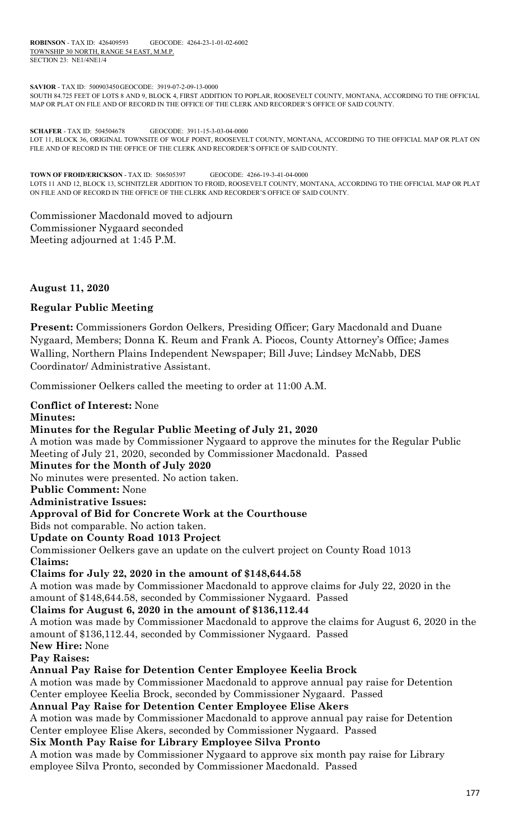**ROBINSON** - TAX ID: 426409593 GEOCODE: 4264-23-1-01-02-6002 TOWNSHIP 30 NORTH, RANGE 54 EAST, M.M.P. SECTION 23: NE1/4NE1/4

**SAVIOR** - TAX ID: 500903450GEOCODE: 3919-07-2-09-13-0000

SOUTH 84.725 FEET OF LOTS 8 AND 9, BLOCK 4, FIRST ADDITION TO POPLAR, ROOSEVELT COUNTY, MONTANA, ACCORDING TO THE OFFICIAL MAP OR PLAT ON FILE AND OF RECORD IN THE OFFICE OF THE CLERK AND RECORDER'S OFFICE OF SAID COUNTY.

**SCHAFER** - TAX ID: 504504678 GEOCODE: 3911-15-3-03-04-0000 LOT 11, BLOCK 36, ORIGINAL TOWNSITE OF WOLF POINT, ROOSEVELT COUNTY, MONTANA, ACCORDING TO THE OFFICIAL MAP OR PLAT ON FILE AND OF RECORD IN THE OFFICE OF THE CLERK AND RECORDER'S OFFICE OF SAID COUNTY.

**TOWN OF FROID/ERICKSON** - TAX ID: 506505397 GEOCODE: 4266-19-3-41-04-0000 LOTS 11 AND 12, BLOCK 13, SCHNITZLER ADDITION TO FROID, ROOSEVELT COUNTY, MONTANA, ACCORDING TO THE OFFICIAL MAP OR PLAT ON FILE AND OF RECORD IN THE OFFICE OF THE CLERK AND RECORDER'S OFFICE OF SAID COUNTY.

Commissioner Macdonald moved to adjourn Commissioner Nygaard seconded Meeting adjourned at 1:45 P.M.

**August 11, 2020**

# **Regular Public Meeting**

**Present:** Commissioners Gordon Oelkers, Presiding Officer; Gary Macdonald and Duane Nygaard, Members; Donna K. Reum and Frank A. Piocos, County Attorney's Office; James Walling, Northern Plains Independent Newspaper; Bill Juve; Lindsey McNabb, DES Coordinator/ Administrative Assistant.

Commissioner Oelkers called the meeting to order at 11:00 A.M.

employee Silva Pronto, seconded by Commissioner Macdonald. Passed

**Conflict of Interest:** None **Minutes: Minutes for the Regular Public Meeting of July 21, 2020** A motion was made by Commissioner Nygaard to approve the minutes for the Regular Public Meeting of July 21, 2020, seconded by Commissioner Macdonald. Passed **Minutes for the Month of July 2020**  No minutes were presented. No action taken. **Public Comment:** None **Administrative Issues: Approval of Bid for Concrete Work at the Courthouse**  Bids not comparable. No action taken. **Update on County Road 1013 Project**  Commissioner Oelkers gave an update on the culvert project on County Road 1013 **Claims: Claims for July 22, 2020 in the amount of \$148,644.58** A motion was made by Commissioner Macdonald to approve claims for July 22, 2020 in the amount of \$148,644.58, seconded by Commissioner Nygaard. Passed **Claims for August 6, 2020 in the amount of \$136,112.44** A motion was made by Commissioner Macdonald to approve the claims for August 6, 2020 in the amount of \$136,112.44, seconded by Commissioner Nygaard. Passed **New Hire:** None **Pay Raises: Annual Pay Raise for Detention Center Employee Keelia Brock** A motion was made by Commissioner Macdonald to approve annual pay raise for Detention Center employee Keelia Brock, seconded by Commissioner Nygaard. Passed **Annual Pay Raise for Detention Center Employee Elise Akers**  A motion was made by Commissioner Macdonald to approve annual pay raise for Detention Center employee Elise Akers, seconded by Commissioner Nygaard. Passed **Six Month Pay Raise for Library Employee Silva Pronto** A motion was made by Commissioner Nygaard to approve six month pay raise for Library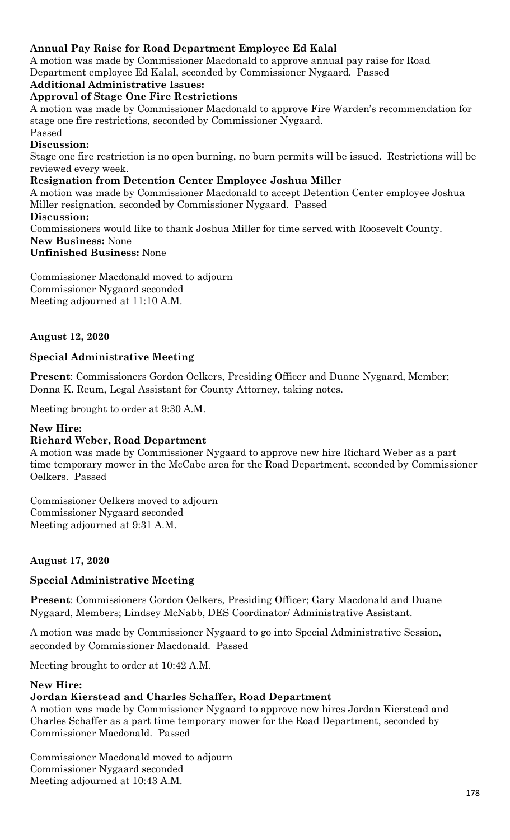# **Annual Pay Raise for Road Department Employee Ed Kalal**

A motion was made by Commissioner Macdonald to approve annual pay raise for Road Department employee Ed Kalal, seconded by Commissioner Nygaard. Passed

# **Additional Administrative Issues:**

**Approval of Stage One Fire Restrictions** 

A motion was made by Commissioner Macdonald to approve Fire Warden's recommendation for stage one fire restrictions, seconded by Commissioner Nygaard.

## Passed

# **Discussion:**

Stage one fire restriction is no open burning, no burn permits will be issued. Restrictions will be reviewed every week.

# **Resignation from Detention Center Employee Joshua Miller**

A motion was made by Commissioner Macdonald to accept Detention Center employee Joshua Miller resignation, seconded by Commissioner Nygaard. Passed

# **Discussion:**

Commissioners would like to thank Joshua Miller for time served with Roosevelt County. **New Business:** None

# **Unfinished Business:** None

Commissioner Macdonald moved to adjourn Commissioner Nygaard seconded Meeting adjourned at 11:10 A.M.

# **August 12, 2020**

# **Special Administrative Meeting**

**Present**: Commissioners Gordon Oelkers, Presiding Officer and Duane Nygaard, Member; Donna K. Reum, Legal Assistant for County Attorney, taking notes.

Meeting brought to order at 9:30 A.M.

# **New Hire:**

# **Richard Weber, Road Department**

A motion was made by Commissioner Nygaard to approve new hire Richard Weber as a part time temporary mower in the McCabe area for the Road Department, seconded by Commissioner Oelkers. Passed

Commissioner Oelkers moved to adjourn Commissioner Nygaard seconded Meeting adjourned at 9:31 A.M.

# **August 17, 2020**

# **Special Administrative Meeting**

**Present**: Commissioners Gordon Oelkers, Presiding Officer; Gary Macdonald and Duane Nygaard, Members; Lindsey McNabb, DES Coordinator/ Administrative Assistant.

A motion was made by Commissioner Nygaard to go into Special Administrative Session, seconded by Commissioner Macdonald. Passed

Meeting brought to order at 10:42 A.M.

# **New Hire:**

# **Jordan Kierstead and Charles Schaffer, Road Department**

A motion was made by Commissioner Nygaard to approve new hires Jordan Kierstead and Charles Schaffer as a part time temporary mower for the Road Department, seconded by Commissioner Macdonald. Passed

Commissioner Macdonald moved to adjourn Commissioner Nygaard seconded Meeting adjourned at 10:43 A.M.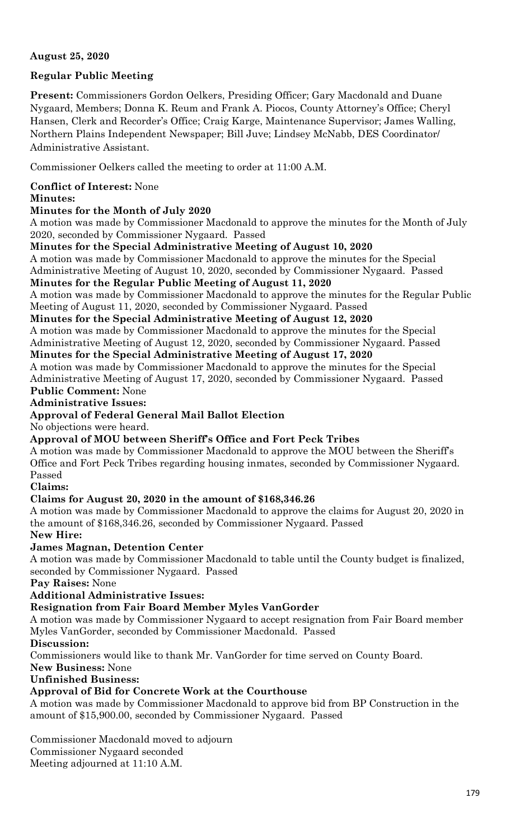# **August 25, 2020**

# **Regular Public Meeting**

**Present:** Commissioners Gordon Oelkers, Presiding Officer; Gary Macdonald and Duane Nygaard, Members; Donna K. Reum and Frank A. Piocos, County Attorney's Office; Cheryl Hansen, Clerk and Recorder's Office; Craig Karge, Maintenance Supervisor; James Walling, Northern Plains Independent Newspaper; Bill Juve; Lindsey McNabb, DES Coordinator/ Administrative Assistant.

Commissioner Oelkers called the meeting to order at 11:00 A.M.

# **Conflict of Interest:** None

# **Minutes:**

# **Minutes for the Month of July 2020**

A motion was made by Commissioner Macdonald to approve the minutes for the Month of July 2020, seconded by Commissioner Nygaard. Passed

**Minutes for the Special Administrative Meeting of August 10, 2020**

A motion was made by Commissioner Macdonald to approve the minutes for the Special Administrative Meeting of August 10, 2020, seconded by Commissioner Nygaard. Passed **Minutes for the Regular Public Meeting of August 11, 2020**

A motion was made by Commissioner Macdonald to approve the minutes for the Regular Public Meeting of August 11, 2020, seconded by Commissioner Nygaard. Passed

# **Minutes for the Special Administrative Meeting of August 12, 2020**

A motion was made by Commissioner Macdonald to approve the minutes for the Special Administrative Meeting of August 12, 2020, seconded by Commissioner Nygaard. Passed **Minutes for the Special Administrative Meeting of August 17, 2020**

A motion was made by Commissioner Macdonald to approve the minutes for the Special Administrative Meeting of August 17, 2020, seconded by Commissioner Nygaard. Passed

# **Public Comment:** None

**Administrative Issues:**

# **Approval of Federal General Mail Ballot Election**

No objections were heard.

# **Approval of MOU between Sheriff's Office and Fort Peck Tribes**

A motion was made by Commissioner Macdonald to approve the MOU between the Sheriff's Office and Fort Peck Tribes regarding housing inmates, seconded by Commissioner Nygaard. Passed

# **Claims:**

# **Claims for August 20, 2020 in the amount of \$168,346.26**

A motion was made by Commissioner Macdonald to approve the claims for August 20, 2020 in the amount of \$168,346.26, seconded by Commissioner Nygaard. Passed

# **New Hire:**

# **James Magnan, Detention Center**

A motion was made by Commissioner Macdonald to table until the County budget is finalized, seconded by Commissioner Nygaard. Passed

**Pay Raises:** None

**Additional Administrative Issues:**

# **Resignation from Fair Board Member Myles VanGorder**

A motion was made by Commissioner Nygaard to accept resignation from Fair Board member Myles VanGorder, seconded by Commissioner Macdonald. Passed

# **Discussion:**

Commissioners would like to thank Mr. VanGorder for time served on County Board.

**New Business:** None

# **Unfinished Business:**

# **Approval of Bid for Concrete Work at the Courthouse**

A motion was made by Commissioner Macdonald to approve bid from BP Construction in the amount of \$15,900.00, seconded by Commissioner Nygaard. Passed

Commissioner Macdonald moved to adjourn

Commissioner Nygaard seconded

Meeting adjourned at 11:10 A.M.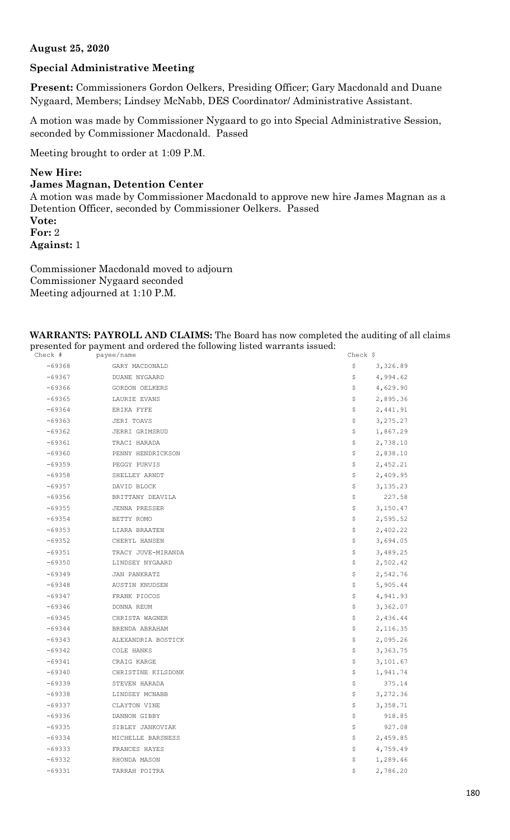## **August 25, 2020**

# **Special Administrative Meeting**

**Present:** Commissioners Gordon Oelkers, Presiding Officer; Gary Macdonald and Duane Nygaard, Members; Lindsey McNabb, DES Coordinator/ Administrative Assistant.

A motion was made by Commissioner Nygaard to go into Special Administrative Session, seconded by Commissioner Macdonald. Passed

Meeting brought to order at 1:09 P.M.

## **New Hire:**

## **James Magnan, Detention Center**

A motion was made by Commissioner Macdonald to approve new hire James Magnan as a Detention Officer, seconded by Commissioner Oelkers. Passed **Vote: For:** 2 **Against:** 1

Commissioner Macdonald moved to adjourn Commissioner Nygaard seconded Meeting adjourned at 1:10 P.M.

# **WARRANTS: PAYROLL AND CLAIMS:** The Board has now completed the auditing of all claims presented for payment and ordered the following listed warrants issued:<br> $\frac{c \text{heck}}{c \text{heck}}$

| Check #  | payee/name         | Check $\frac{1}{2}$ |
|----------|--------------------|---------------------|
| $-69368$ | GARY MACDONALD     | \$<br>3,326.89      |
| $-69367$ | DUANE NYGAARD      | \$<br>4,994.62      |
| $-69366$ | GORDON OELKERS     | \$<br>4,629.90      |
| $-69365$ | LAURIE EVANS       | \$<br>2,895.36      |
| $-69364$ | ERIKA FYFE         | \$<br>2,441.91      |
| $-69363$ | JERI TOAVS         | \$<br>3,275.27      |
| $-69362$ | JERRI GRIMSRUD     | \$<br>1,867.29      |
| $-69361$ | TRACI HARADA       | \$<br>2,738.10      |
| $-69360$ | PENNY HENDRICKSON  | \$<br>2,838.10      |
| $-69359$ | PEGGY PURVIS       | \$<br>2,452.21      |
| $-69358$ | SHELLEY ARNDT      | \$<br>2,409.95      |
| $-69357$ | DAVID BLOCK        | \$<br>3,135.23      |
| $-69356$ | BRITTANY DEAVILA   | \$<br>227.58        |
| $-69355$ | JENNA PRESSER      | \$<br>3,150.47      |
| $-69354$ | BETTY ROMO         | \$<br>2,595.52      |
| $-69353$ | LIARA BRAATEN      | \$<br>2,402.22      |
| $-69352$ | CHERYL HANSEN      | \$<br>3,694.05      |
| $-69351$ | TRACY JUVE-MIRANDA | \$<br>3,489.25      |
| $-69350$ | LINDSEY NYGAARD    | \$<br>2,502.42      |
| $-69349$ | JAN PANKRATZ       | \$<br>2,542.76      |
| $-69348$ | AUSTIN KNUDSEN     | \$<br>5,905.44      |
| $-69347$ | FRANK PIOCOS       | \$<br>4,941.93      |
| $-69346$ | DONNA REUM         | \$<br>3,362.07      |
| $-69345$ | CHRISTA WAGNER     | \$<br>2,436.44      |
| $-69344$ | BRENDA ABRAHAM     | \$<br>2,116.35      |
| $-69343$ | ALEXANDRIA BOSTICK | \$<br>2,095.26      |
| $-69342$ | COLE HANKS         | \$<br>3,363.75      |
| $-69341$ | CRAIG KARGE        | \$<br>3,101.67      |
| $-69340$ | CHRISTINE KILSDONK | \$<br>1,941.74      |
| $-69339$ | STEVEN HARADA      | \$<br>375.14        |
| $-69338$ | LINDSEY MCNABB     | \$<br>3,272.36      |
| $-69337$ | CLAYTON VINE       | \$<br>3,358.71      |
| $-69336$ | DANNON GIBBY       | \$<br>918.85        |
| $-69335$ | SIBLEY JANKOVIAK   | \$<br>927.08        |
| $-69334$ | MICHELLE BARSNESS  | \$<br>2,459.85      |
| $-69333$ | FRANCES HAYES      | \$<br>4,759.49      |
| $-69332$ | RHONDA MASON       | \$<br>1,289.46      |
| $-69331$ | TARRAH POITRA      | \$<br>2,786.20      |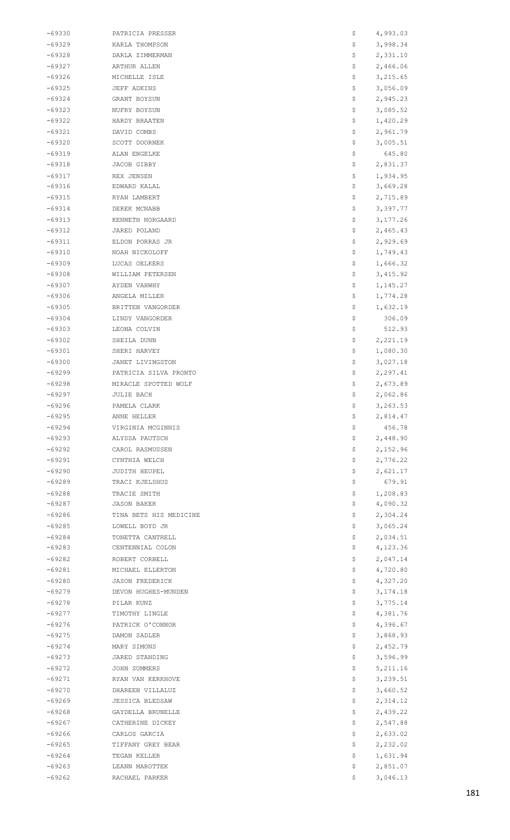| -69330               | PATRICIA PRESSER                 | \$       | 4,993.03             |
|----------------------|----------------------------------|----------|----------------------|
| $-69329$             | KARLA THOMPSON                   | \$       | 3,998.34             |
| $-69328$             | DARLA ZIMMERMAN                  | \$       | 2,331.10             |
| $-69327$             | ARTHUR ALLEN                     | \$       | 2,466.06             |
| $-69326$             | MICHELLE ISLE                    | \$       | 3,215.65             |
| -69325               | JEFF ADKINS                      | \$       | 3,056.09             |
| $-69324$             | GRANT BOYSUN                     | \$       | 2,945.23             |
| $-69323$             | NUFRY BOYSUN                     | \$       | 3,085.52             |
| $-69322$             | HARDY BRAATEN                    | \$       | 1,420.29             |
| $-69321$             | DAVID COMBS                      | \$       | 2,961.79             |
| $-69320$             | SCOTT DOORNEK                    | \$       | 3,005.51             |
| $-69319$             | ALAN ENGELKE                     | \$       | 645.80               |
| $-69318$             | JACOB GIBBY                      | \$       | 2,831.37             |
| $-69317$             | REX JENSEN                       | \$       | 1,934.95             |
| $-69316$             | EDWARD KALAL                     | \$       | 3,669.28             |
| $-69315$             | RYAN LAMBERT                     | \$       | 2,715.89             |
| $-69314$             | DEREK MCNABB                     | \$       | 3,397.77             |
| $-69313$             | KENNETH NORGAARD                 | \$       | 3,177.26             |
| $-69312$             | JARED POLAND                     | \$       | 2,465.43             |
| $-69311$             | ELDON PORRAS JR                  | \$       | 2,929.69             |
| $-69310$             | NOAH NICKOLOFF                   | \$       | 1,749.43             |
| $-69309$             | LUCAS OELKERS                    | \$       | 1,666.32             |
| -69308               | WILLIAM PETERSEN                 | \$       | 3,415.92             |
| $-69307$             | AYDEN VAHWHY                     | \$<br>\$ | 1,145.27             |
| $-69306$             | ANGELA MILLER                    |          | 1,774.28             |
| $-69305$             | BRITTEN VANGORDER                | \$       | 1,632.19             |
| $-69304$<br>$-69303$ | LINDY VANGORDER                  | \$<br>\$ | 306.09               |
| $-69302$             | LEONA COLVIN<br>SHEILA DUNN      | \$       | 512.93<br>2,221.19   |
| $-69301$             | SHERI HARVEY                     | \$       | 1,080.30             |
| $-69300$             | JANET LIVINGSTON                 | \$       | 3,027.18             |
| -69299               | PATRICIA SILVA PRONTO            | \$       | 2,297.41             |
| $-69298$             | MIRACLE SPOTTED WOLF             | \$       | 2,673.89             |
| $-69297$             | JULIE BACH                       | \$       | 2,062.86             |
| -69296               | PAMELA CLARK                     | Ş        | 3,263.53             |
| $-69295$             | ANNE HELLER                      | \$       | 2,814.47             |
| $-69294$             | VIRGINIA MCGINNIS                | \$       | 456.78               |
| -69293               | ALYSSA PAUTSCH                   | \$       | 2,448.90             |
| $-69292$             | CAROL RASMUSSEN                  | \$       | 2,152.96             |
| $-69291$             | CYNTHIA WELCH                    | \$       | 2,776.22             |
| $-69290$             | JUDITH HEUPEL                    | \$       | 2,621.17             |
| $-69289$             | TRACI KJELSHUS                   | \$       | 679.91               |
| -69288               | TRACIE SMITH                     | \$       | 1,208.83             |
| -69287               | <b>JASON BAKER</b>               | \$       | 4,090.32             |
| $-69286$             | TINA BETS HIS MEDICINE           | \$       | 2,304.24             |
| $-69285$             | LOWELL BOYD JR                   | \$       | 3,065.24             |
| $-69284$             | TONETTA CANTRELL                 | \$       | 2,034.51             |
| -69283               | CENTENNIAL COLON                 | \$       | 4,123.36             |
| $-69282$             | ROBERT CORBELL                   | \$       | 2,047.14             |
| $-69281$             | MICHAEL ELLERTON                 | \$       | 4,720.80             |
| $-69280$             | <b>JASON FREDERICK</b>           | \$       | 4,327.20             |
| -69279               | DEVON HUGHES-MUNDEN              | \$       | 3,174.18             |
| -69278               | PILAR KUNZ                       | \$       | 3,775.14             |
| -69277               | TIMOTHY LINGLE                   | \$       | 4,381.76             |
| $-69276$             | PATRICK O'CONNOR                 | \$       | 4,396.67             |
| $-69275$             | DAMON SADLER                     | \$       | 3,868.93             |
| $-69274$             | MARY SIMONS                      | \$       | 2,452.79             |
| -69273               | JARED STANDING                   | \$       | 3,596.99             |
| -69272               | JOHN SUMMERS                     | \$       | 5, 211.16            |
| $-69271$             | RYAN VAN KERKHOVE                | \$       | 3,239.51             |
| $-69270$             | DHAREEN VILLALUZ                 | \$       | 3,660.52             |
| $-69269$             | JESSICA BLEDSAW                  | \$       | 2,314.12             |
| $-69268$             | GAYDELLA BRUNELLE                | \$       | 2,439.22             |
| -69267               | CATHERINE DICKEY                 | \$       | 2,547.88             |
| $-69266$             | CARLOS GARCIA                    | \$       | 2,633.02             |
| $-69265$             | TIFFANY GREY BEAR                | \$       | 2,232.02             |
| $-69264$             | TEGAN KELLER                     | \$       | 1,631.94             |
|                      |                                  |          |                      |
| $-69263$<br>$-69262$ | LEANN MAROTTEK<br>RACHAEL PARKER | \$<br>S. | 2,851.07<br>3,046.13 |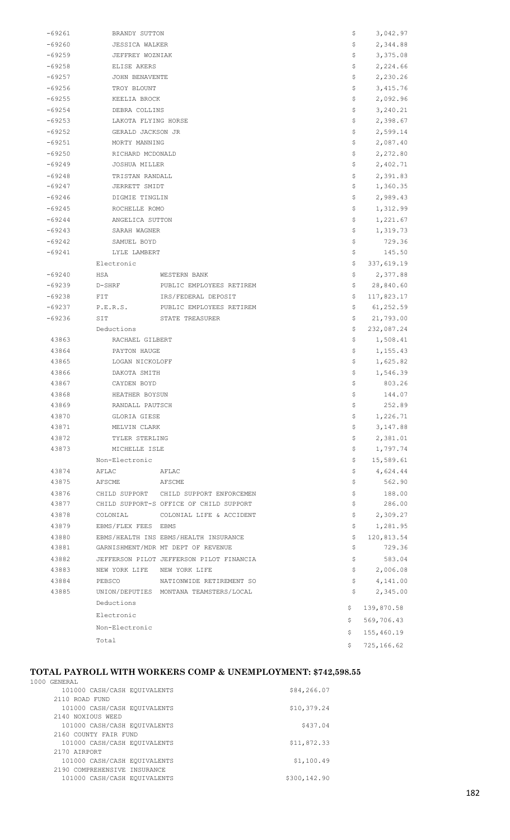| $-69261$ | BRANDY SUTTON       |                                          | \$       | 3,042.97              |
|----------|---------------------|------------------------------------------|----------|-----------------------|
| $-69260$ |                     | <b>JESSICA WALKER</b>                    |          | 2,344.88              |
| $-69259$ |                     | JEFFREY WOZNIAK                          |          | 3,375.08              |
| $-69258$ |                     | ELISE AKERS                              |          | 2,224.66              |
| $-69257$ |                     | JOHN BENAVENTE                           |          | 2,230.26              |
| -69256   | TROY BLOUNT         |                                          | \$       | 3,415.76              |
| $-69255$ |                     | KEELIA BROCK                             |          | 2,092.96              |
| $-69254$ | DEBRA COLLINS       |                                          | \$       | 3,240.21              |
| $-69253$ | LAKOTA FLYING HORSE |                                          | \$.      | 2,398.67              |
| $-69252$ | GERALD JACKSON JR   |                                          | \$.      | 2,599.14              |
| $-69251$ | MORTY MANNING       |                                          | \$       | 2,087.40              |
| $-69250$ | RICHARD MCDONALD    |                                          | \$       | 2,272.80              |
| -69249   | JOSHUA MILLER       |                                          | Ş.       | 2,402.71              |
| $-69248$ | TRISTAN RANDALL     |                                          | \$       | 2,391.83              |
| $-69247$ | JERRETT SMIDT       |                                          | \$.      | 1,360.35              |
| $-69246$ | DIGMIE TINGLIN      |                                          | \$       | 2,989.43              |
| -69245   | ROCHELLE ROMO       |                                          | \$       | 1,312.99              |
| $-69244$ | ANGELICA SUTTON     |                                          | Ş.       | 1,221.67              |
| $-69243$ | SARAH WAGNER        |                                          | \$.      | 1,319.73              |
| $-69242$ | SAMUEL BOYD         |                                          | \$       | 729.36                |
| $-69241$ | LYLE LAMBERT        |                                          | \$       | 145.50                |
|          | Electronic          |                                          | Ş.       | 337,619.19            |
| $-69240$ |                     |                                          |          |                       |
| $-69239$ | HSA<br>D-SHRF       | WESTERN BANK<br>PUBLIC EMPLOYEES RETIREM | Ş.       | 2,377.88<br>28,840.60 |
|          |                     |                                          | Ş.       |                       |
| $-69238$ | FIT                 | IRS/FEDERAL DEPOSIT                      | \$.      | 117,823.17            |
| $-69237$ | P.E.R.S.            | PUBLIC EMPLOYEES RETIREM                 | \$.      | 61, 252.59            |
| -69236   | SIT                 | STATE TREASURER                          | \$       | 21,793.00             |
|          | Deductions          |                                          | \$       | 232,087.24            |
| 43863    | RACHAEL GILBERT     |                                          | \$.      | 1,508.41              |
| 43864    | PAYTON HAUGE        |                                          | \$.      | 1,155.43              |
| 43865    | LOGAN NICKOLOFF     |                                          | \$.      | 1,625.82              |
| 43866    | DAKOTA SMITH        |                                          | \$       | 1,546.39              |
| 43867    | CAYDEN BOYD         |                                          | \$<br>\$ | 803.26                |
| 43868    |                     | HEATHER BOYSUN                           |          | 144.07                |
| 43869    | RANDALL PAUTSCH     |                                          | Ş        | 252.89                |
| 43870    | GLORIA GIESE        |                                          | \$       | 1,226.71              |
| 43871    | MELVIN CLARK        |                                          | \$       | 3,147.88              |
| 43872    | TYLER STERLING      |                                          | \$       | 2,381.01              |
| 43873    | MICHELLE ISLE       |                                          | \$       | 1,797.74              |
|          | Non-Electronic      |                                          | \$       | 15,589.61             |
| 43874    | AFLAC               | AFLAC                                    | \$       | 4,624.44              |
| 43875    | AFSCME              | AFSCME                                   | \$       | 562.90                |
| 43876    |                     | CHILD SUPPORT CHILD SUPPORT ENFORCEMEN   | \$       | 188.00                |
| 43877    |                     | CHILD SUPPORT-S OFFICE OF CHILD SUPPORT  | \$       | 286.00                |
| 43878    | COLONIAL            | COLONIAL LIFE & ACCIDENT                 | \$       | 2,309.27              |
| 43879    | EBMS/FLEX FEES EBMS |                                          | \$       | 1,281.95              |
| 43880    |                     | EBMS/HEALTH INS EBMS/HEALTH INSURANCE    | \$       | 120,813.54            |
| 43881    |                     | GARNISHMENT/MDR MT DEPT OF REVENUE       | \$       | 729.36                |
| 43882    |                     | JEFFERSON PILOT JEFFERSON PILOT FINANCIA | \$       | 583.04                |
| 43883    |                     | NEW YORK LIFE NEW YORK LIFE              | \$.      | 2,006.08              |
| 43884    | PEBSCO              | NATIONWIDE RETIREMENT SO                 | \$.      | 4,141.00              |
| 43885    |                     | UNION/DEPUTIES MONTANA TEAMSTERS/LOCAL   | \$       | 2,345.00              |
|          | Deductions          |                                          | \$       | 139,870.58            |
|          | Electronic          |                                          | \$       | 569,706.43            |
|          | Non-Electronic      |                                          |          |                       |
|          | Total               |                                          | \$       | 155,460.19            |
|          |                     |                                          | \$       | 725,166.62            |

#### **TOTAL PAYROLL WITH WORKERS COMP & UNEMPLOYMENT: \$742,598.55**

| 1000 GENERAL                 |              |
|------------------------------|--------------|
| 101000 CASH/CASH EQUIVALENTS | \$84,266.07  |
| 2110 ROAD FUND               |              |
| 101000 CASH/CASH EQUIVALENTS | \$10,379.24  |
| 2140 NOXIOUS WEED            |              |
| 101000 CASH/CASH EQUIVALENTS | \$437.04     |
| 2160 COUNTY FAIR FUND        |              |
| 101000 CASH/CASH EQUIVALENTS | \$11,872.33  |
| 2170 ATRPORT                 |              |
| 101000 CASH/CASH EQUIVALENTS | \$1,100.49   |
| 2190 COMPREHENSIVE INSURANCE |              |
| 101000 CASH/CASH EQUIVALENTS | \$300,142.90 |
|                              |              |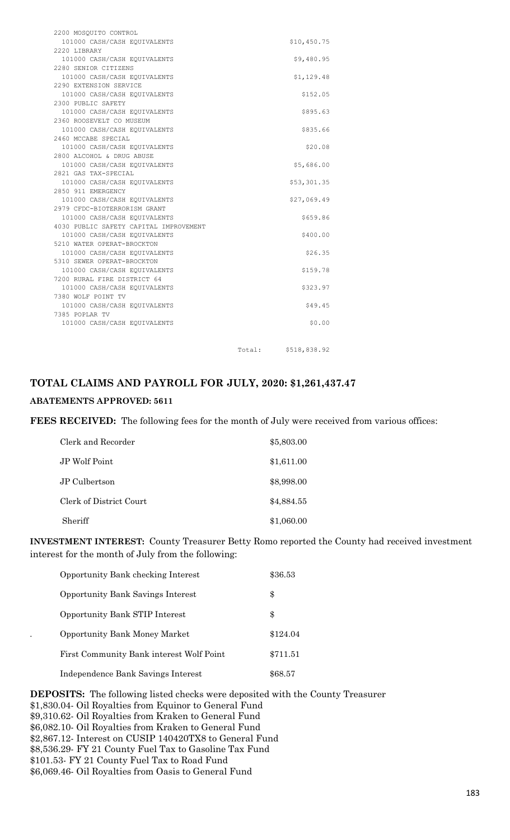| 2200 MOSQUITO CONTROL                  |        |              |
|----------------------------------------|--------|--------------|
| 101000 CASH/CASH EQUIVALENTS           |        | \$10,450.75  |
| 2220 LIBRARY                           |        |              |
| 101000 CASH/CASH EQUIVALENTS           |        | \$9,480.95   |
| 2280 SENIOR CITIZENS                   |        |              |
| 101000 CASH/CASH EQUIVALENTS           |        | \$1,129.48   |
| 2290 EXTENSION SERVICE                 |        |              |
| 101000 CASH/CASH EQUIVALENTS           |        | \$152.05     |
| 2300 PUBLIC SAFETY                     |        |              |
| 101000 CASH/CASH EQUIVALENTS           |        | \$895.63     |
| 2360 ROOSEVELT CO MUSEUM               |        |              |
| 101000 CASH/CASH EQUIVALENTS           |        | \$835.66     |
| 2460 MCCABE SPECIAL                    |        |              |
| 101000 CASH/CASH EQUIVALENTS           |        | \$20.08      |
| 2800 ALCOHOL & DRUG ABUSE              |        |              |
| 101000 CASH/CASH EQUIVALENTS           |        | \$5,686.00   |
| 2821 GAS TAX-SPECIAL                   |        |              |
| 101000 CASH/CASH EQUIVALENTS           |        | \$53,301.35  |
| 2850 911 EMERGENCY                     |        |              |
| 101000 CASH/CASH EQUIVALENTS           |        | \$27,069.49  |
| 2979 CFDC-BIOTERRORISM GRANT           |        |              |
| 101000 CASH/CASH EQUIVALENTS           |        | \$659.86     |
| 4030 PUBLIC SAFETY CAPITAL IMPROVEMENT |        |              |
| 101000 CASH/CASH EQUIVALENTS           |        | \$400.00     |
| 5210 WATER OPERAT-BROCKTON             |        |              |
| 101000 CASH/CASH EQUIVALENTS           |        | \$26.35      |
| 5310 SEWER OPERAT-BROCKTON             |        |              |
| 101000 CASH/CASH EQUIVALENTS           |        | \$159.78     |
| 7200 RURAL FIRE DISTRICT 64            |        |              |
| 101000 CASH/CASH EQUIVALENTS           |        | \$323.97     |
| 7380 WOLF POINT TV                     |        |              |
| 101000 CASH/CASH EQUIVALENTS           |        | \$49.45      |
| 7385 POPLAR TV                         |        |              |
| 101000 CASH/CASH EQUIVALENTS           |        | \$0.00       |
|                                        |        |              |
|                                        |        |              |
|                                        | Total: | \$518,838.92 |

# **TOTAL CLAIMS AND PAYROLL FOR JULY, 2020: \$1,261,437.47**

## **ABATEMENTS APPROVED: 5611**

FEES RECEIVED: The following fees for the month of July were received from various offices:

| Clerk and Recorder      | \$5,803.00 |
|-------------------------|------------|
| JP Wolf Point           | \$1,611.00 |
| JP Culbertson           | \$8,998.00 |
| Clerk of District Court | \$4,884.55 |
| Sheriff                 | \$1,060.00 |

**INVESTMENT INTEREST:** County Treasurer Betty Romo reported the County had received investment interest for the month of July from the following:

| Opportunity Bank checking Interest       | \$36.53  |
|------------------------------------------|----------|
| <b>Opportunity Bank Savings Interest</b> | \$       |
| Opportunity Bank STIP Interest           | \$       |
| <b>Opportunity Bank Money Market</b>     | \$124.04 |
| First Community Bank interest Wolf Point | \$711.51 |
| Independence Bank Savings Interest       | \$68.57  |

**DEPOSITS:** The following listed checks were deposited with the County Treasurer \$1,830.04- Oil Royalties from Equinor to General Fund \$9,310.62- Oil Royalties from Kraken to General Fund \$6,082.10- Oil Royalties from Kraken to General Fund \$2,867.12- Interest on CUSIP 140420TX8 to General Fund \$8,536.29- FY 21 County Fuel Tax to Gasoline Tax Fund \$101.53- FY 21 County Fuel Tax to Road Fund \$6,069.46- Oil Royalties from Oasis to General Fund